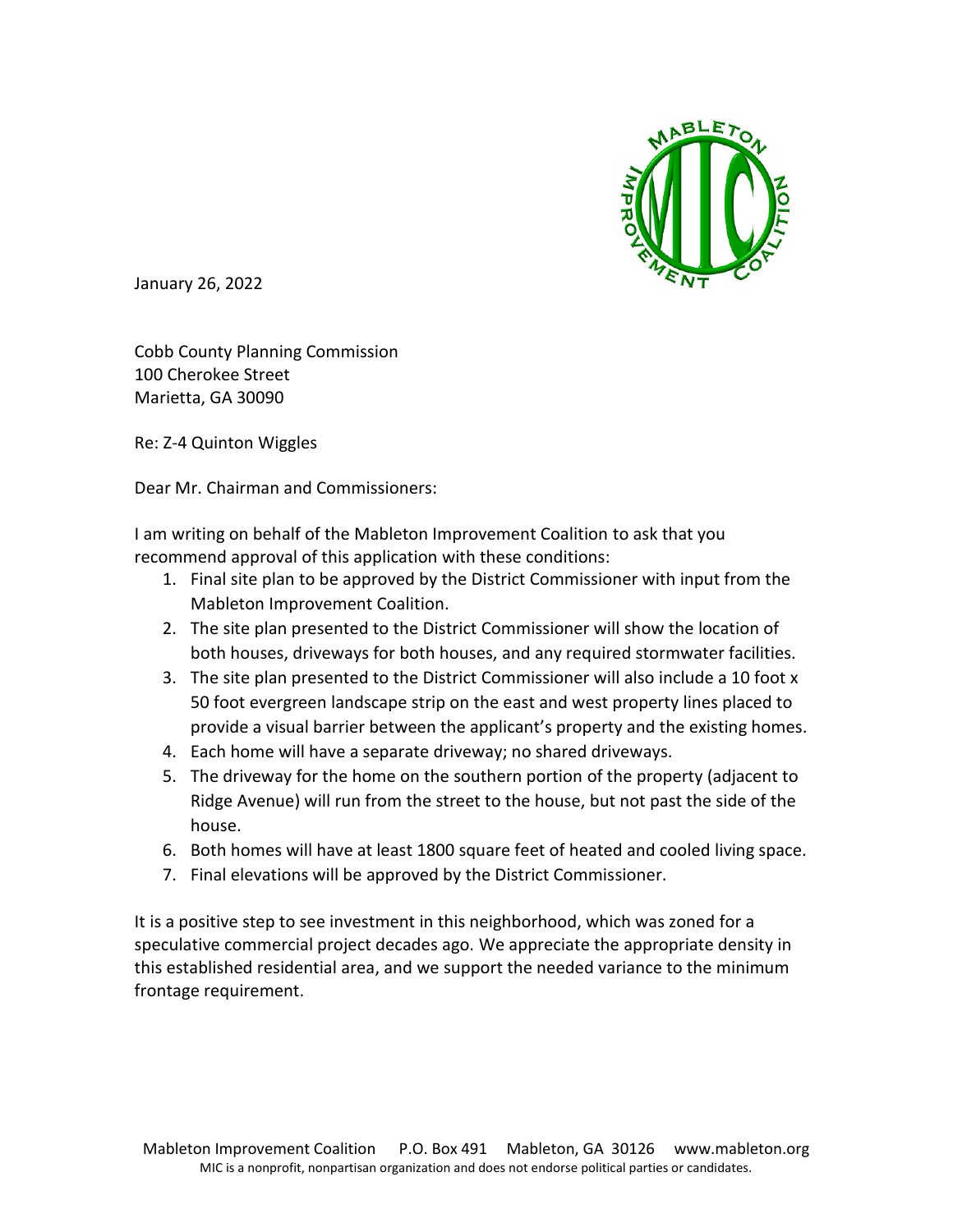

January 26, 2022

Cobb County Planning Commission 100 Cherokee Street Marietta, GA 30090

Re: Z-4 Quinton Wiggles

Dear Mr. Chairman and Commissioners:

I am writing on behalf of the Mableton Improvement Coalition to ask that you recommend approval of this application with these conditions:

- 1. Final site plan to be approved by the District Commissioner with input from the Mableton Improvement Coalition.
- 2. The site plan presented to the District Commissioner will show the location of both houses, driveways for both houses, and any required stormwater facilities.
- 3. The site plan presented to the District Commissioner will also include a 10 foot x 50 foot evergreen landscape strip on the east and west property lines placed to provide a visual barrier between the applicant's property and the existing homes.
- 4. Each home will have a separate driveway; no shared driveways.
- 5. The driveway for the home on the southern portion of the property (adjacent to Ridge Avenue) will run from the street to the house, but not past the side of the house.
- 6. Both homes will have at least 1800 square feet of heated and cooled living space.
- 7. Final elevations will be approved by the District Commissioner.

It is a positive step to see investment in this neighborhood, which was zoned for a speculative commercial project decades ago. We appreciate the appropriate density in this established residential area, and we support the needed variance to the minimum frontage requirement.